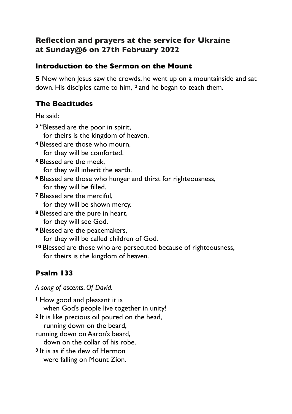## **Reflection and prayers at the service for Ukraine at Sunday@6 on 27th February 2022**

### **Introduction to the Sermon on the Mount**

**5** Now when Jesus saw the crowds, he went up on a mountainside and sat down. His disciples came to him, **<sup>2</sup>** and he began to teach them.

### **The Beatitudes**

He said:

- **<sup>3</sup>** "Blessed are the poor in spirit, for theirs is the kingdom of heaven.
- **<sup>4</sup>** Blessed are those who mourn, for they will be comforted.
- **<sup>5</sup>** Blessed are the meek,

for they will inherit the earth.

- **<sup>6</sup>** Blessed are those who hunger and thirst for righteousness, for they will be filled.
- **<sup>7</sup>** Blessed are the merciful, for they will be shown mercy.
- **<sup>8</sup>** Blessed are the pure in heart, for they will see God.
- **<sup>9</sup>** Blessed are the peacemakers, for they will be called children of God.
- **<sup>10</sup>** Blessed are those who are persecuted because of righteousness, for theirs is the kingdom of heaven.

# **Psalm 133**

*A song of ascents. Of David.*

**<sup>1</sup>** How good and pleasant it is when God's people live together in unity! **<sup>2</sup>** It is like precious oil poured on the head, running down on the beard, running down on Aaron's beard, down on the collar of his robe. **<sup>3</sup>** It is as if the dew of Hermon were falling on Mount Zion.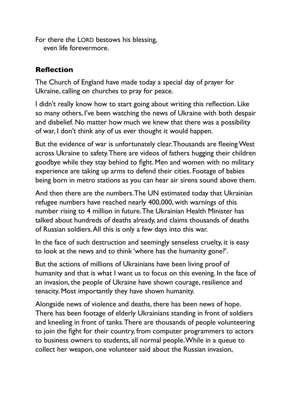For there the LORD bestows his blessing, even life forevermore.

#### **Reflection**

The Church of England have made today a special day of prayer for Ukraine, calling on churches to pray for peace.

I didn't really know how to start going about writing this reflection. Like so many others, I've been watching the news of Ukraine with both despair and disbelief. No matter how much we knew that there was a possibility of war, I don't think any of us ever thought it would happen.

But the evidence of war is unfortunately clear. Thousands are fleeing West across Ukraine to safety. There are videos of fathers hugging their children goodbye while they stay behind to fight. Men and women with no military experience are taking up arms to defend their cities. Footage of babies being born in metro stations as you can hear air sirens sound above them.

And then there are the numbers. The UN estimated today that Ukrainian refugee numbers have reached nearly 400,000, with warnings of this number rising to 4 million in future. The Ukrainian Health Minister has talked about hundreds of deaths already, and claims thousands of deaths of Russian soldiers. All this is only a few days into this war.

In the face of such destruction and seemingly senseless cruelty, it is easy to look at the news and to think 'where has the humanity gone?'.

But the actions of millions of Ukrainians have been living proof of humanity and that is what I want us to focus on this evening. In the face of an invasion, the people of Ukraine have shown courage, resilience and tenacity. Most importantly they have shown humanity.

Alongside news of violence and deaths, there has been news of hope. There has been footage of elderly Ukrainians standing in front of soldiers and kneeling in front of tanks. There are thousands of people volunteering to join the fight for their country, from computer programmers to actors to business owners to students, all normal people. While in a queue to collect her weapon, one volunteer said about the Russian invasion,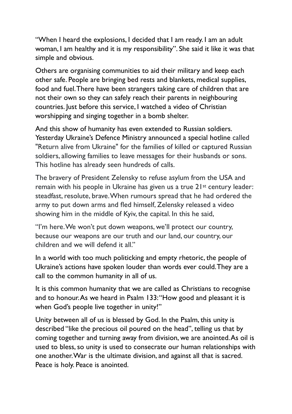"When I heard the explosions, I decided that I am ready. I am an adult woman, I am healthy and it is my responsibility". She said it like it was that simple and obvious.

Others are organising communities to aid their military and keep each other safe. People are bringing bed rests and blankets, medical supplies, food and fuel. There have been strangers taking care of children that are not their own so they can safely reach their parents in neighbouring countries. Just before this service, I watched a video of Christian worshipping and singing together in a bomb shelter.

And this show of humanity has even extended to Russian soldiers. Yesterday Ukraine's Defence Ministry announced a special hotline called "Return alive from Ukraine" for the families of killed or captured Russian soldiers, allowing families to leave messages for their husbands or sons. This hotline has already seen hundreds of calls.

The bravery of President Zelensky to refuse asylum from the USA and remain with his people in Ukraine has given us a true 21st century leader: steadfast, resolute, brave. When rumours spread that he had ordered the army to put down arms and fled himself, Zelensky released a video showing him in the middle of Kyiv, the capital. In this he said,

"I'm here. We won't put down weapons, we'll protect our country, because our weapons are our truth and our land, our country, our children and we will defend it all."

In a world with too much politicking and empty rhetoric, the people of Ukraine's actions have spoken louder than words ever could. They are a call to the common humanity in all of us.

It is this common humanity that we are called as Christians to recognise and to honour. As we heard in Psalm 133: "How good and pleasant it is when God's people live together in unity!"

Unity between all of us is blessed by God. In the Psalm, this unity is described "like the precious oil poured on the head", telling us that by coming together and turning away from division, we are anointed. As oil is used to bless, so unity is used to consecrate our human relationships with one another. War is the ultimate division, and against all that is sacred. Peace is holy. Peace is anointed.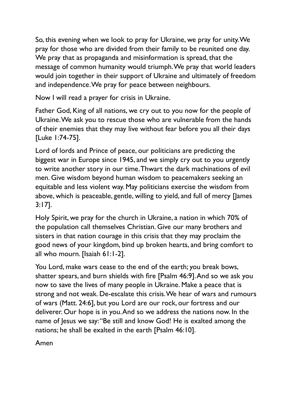So, this evening when we look to pray for Ukraine, we pray for unity. We pray for those who are divided from their family to be reunited one day. We pray that as propaganda and misinformation is spread, that the message of common humanity would triumph. We pray that world leaders would join together in their support of Ukraine and ultimately of freedom and independence. We pray for peace between neighbours.

Now I will read a prayer for crisis in Ukraine.

Father God, King of all nations, we cry out to you now for the people of Ukraine. We ask you to rescue those who are vulnerable from the hands of their enemies that they may live without fear before you all their days [Luke 1:74-75].

Lord of lords and Prince of peace, our politicians are predicting the biggest war in Europe since 1945, and we simply cry out to you urgently to write another story in our time. Thwart the dark machinations of evil men. Give wisdom beyond human wisdom to peacemakers seeking an equitable and less violent way. May politicians exercise the wisdom from above, which is peaceable, gentle, willing to yield, and full of mercy [James 3:17].

Holy Spirit, we pray for the church in Ukraine, a nation in which 70% of the population call themselves Christian. Give our many brothers and sisters in that nation courage in this crisis that they may proclaim the good news of your kingdom, bind up broken hearts, and bring comfort to all who mourn. [Isaiah 61:1-2].

You Lord, make wars cease to the end of the earth; you break bows, shatter spears, and burn shields with fire [Psalm 46:9]. And so we ask you now to save the lives of many people in Ukraine. Make a peace that is strong and not weak. De-escalate this crisis. We hear of wars and rumours of wars (Matt. 24:6], but you Lord are our rock, our fortress and our deliverer. Our hope is in you. And so we address the nations now. In the name of Jesus we say: "Be still and know God! He is exalted among the nations; he shall be exalted in the earth [Psalm 46:10].

Amen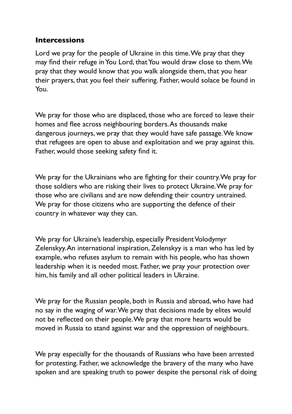#### **Intercessions**

Lord we pray for the people of Ukraine in this time. We pray that they may find their refuge in You Lord, that You would draw close to them. We pray that they would know that you walk alongside them, that you hear their prayers, that you feel their suffering. Father, would solace be found in You.

We pray for those who are displaced, those who are forced to leave their homes and flee across neighbouring borders. As thousands make dangerous journeys, we pray that they would have safe passage. We know that refugees are open to abuse and exploitation and we pray against this. Father, would those seeking safety find it.

We pray for the Ukrainians who are fighting for their country. We pray for those soldiers who are risking their lives to protect Ukraine. We pray for those who are civilians and are now defending their country untrained. We pray for those citizens who are supporting the defence of their country in whatever way they can.

We pray for Ukraine's leadership, especially President Volodymyr Zelenskyy. An international inspiration, Zelenskyy is a man who has led by example, who refuses asylum to remain with his people, who has shown leadership when it is needed most. Father, we pray your protection over him, his family and all other political leaders in Ukraine.

We pray for the Russian people, both in Russia and abroad, who have had no say in the waging of war. We pray that decisions made by elites would not be reflected on their people. We pray that more hearts would be moved in Russia to stand against war and the oppression of neighbours.

We pray especially for the thousands of Russians who have been arrested for protesting. Father, we acknowledge the bravery of the many who have spoken and are speaking truth to power despite the personal risk of doing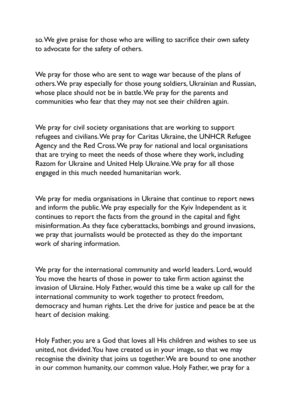so. We give praise for those who are willing to sacrifice their own safety to advocate for the safety of others.

We pray for those who are sent to wage war because of the plans of others. We pray especially for those young soldiers, Ukrainian and Russian, whose place should not be in battle. We pray for the parents and communities who fear that they may not see their children again.

We pray for civil society organisations that are working to support refugees and civilians. We pray for Caritas Ukraine, the UNHCR Refugee Agency and the Red Cross. We pray for national and local organisations that are trying to meet the needs of those where they work, including Razom for Ukraine and United Help Ukraine. We pray for all those engaged in this much needed humanitarian work.

We pray for media organisations in Ukraine that continue to report news and inform the public. We pray especially for the Kyiv Independent as it continues to report the facts from the ground in the capital and fight misinformation. As they face cyberattacks, bombings and ground invasions, we pray that journalists would be protected as they do the important work of sharing information.

We pray for the international community and world leaders. Lord, would You move the hearts of those in power to take firm action against the invasion of Ukraine. Holy Father, would this time be a wake up call for the international community to work together to protect freedom, democracy and human rights. Let the drive for justice and peace be at the heart of decision making.

Holy Father, you are a God that loves all His children and wishes to see us united, not divided. You have created us in your image, so that we may recognise the divinity that joins us together. We are bound to one another in our common humanity, our common value. Holy Father, we pray for a